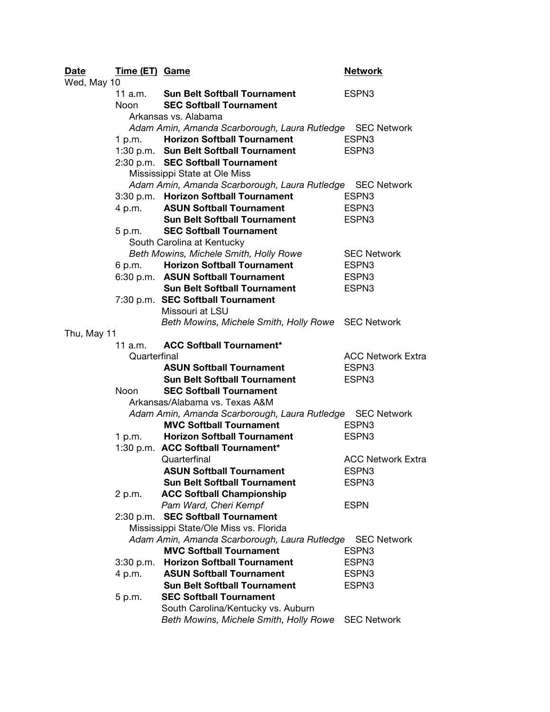| <b>Date</b> | Time (ET) Game |                                                           | <b>Network</b>           |
|-------------|----------------|-----------------------------------------------------------|--------------------------|
| Wed, May 10 |                |                                                           |                          |
|             | 11 a.m.        | <b>Sun Belt Softball Tournament</b>                       | ESPN3                    |
|             | Noon           | <b>SEC Softball Tournament</b>                            |                          |
|             |                | Arkansas vs. Alabama                                      |                          |
|             |                | Adam Amin, Amanda Scarborough, Laura Rutledge SEC Network |                          |
|             | 1 p.m.         | <b>Horizon Softball Tournament</b>                        | ESPN3                    |
|             |                | 1:30 p.m. Sun Belt Softball Tournament                    | ESPN3                    |
|             |                | 2:30 p.m. SEC Softball Tournament                         |                          |
|             |                | Mississippi State at Ole Miss                             |                          |
|             |                | Adam Amin, Amanda Scarborough, Laura Rutledge SEC Network |                          |
|             |                | 3:30 p.m. Horizon Softball Tournament                     | ESPN <sub>3</sub>        |
|             | 4 p.m.         | <b>ASUN Softball Tournament</b>                           | ESPN3                    |
|             |                | <b>Sun Belt Softball Tournament</b>                       | ESPN3                    |
|             | 5 p.m.         | <b>SEC Softball Tournament</b>                            |                          |
|             |                | South Carolina at Kentucky                                |                          |
|             |                | Beth Mowins, Michele Smith, Holly Rowe                    | <b>SEC Network</b>       |
|             | 6 p.m.         | <b>Horizon Softball Tournament</b>                        | ESPN <sub>3</sub>        |
|             |                | 6:30 p.m. ASUN Softball Tournament                        | ESPN3                    |
|             |                | <b>Sun Belt Softball Tournament</b>                       | ESPN3                    |
|             |                | 7:30 p.m. SEC Softball Tournament                         |                          |
|             |                | Missouri at LSU                                           |                          |
|             |                | Beth Mowins, Michele Smith, Holly Rowe SEC Network        |                          |
| Thu, May 11 |                |                                                           |                          |
|             | 11 a.m.        | <b>ACC Softball Tournament*</b>                           |                          |
|             | Quarterfinal   |                                                           | <b>ACC Network Extra</b> |
|             |                | <b>ASUN Softball Tournament</b>                           | ESPN3                    |
|             |                | <b>Sun Belt Softball Tournament</b>                       | ESPN3                    |
|             | Noon           | <b>SEC Softball Tournament</b>                            |                          |
|             |                | Arkansas/Alabama vs. Texas A&M                            |                          |
|             |                | Adam Amin, Amanda Scarborough, Laura Rutledge SEC Network |                          |
|             |                | <b>MVC Softball Tournament</b>                            | ESPN <sub>3</sub>        |
|             | 1 p.m.         | <b>Horizon Softball Tournament</b>                        | ESPN3                    |
|             |                | 1:30 p.m. ACC Softball Tournament*                        |                          |
|             |                | Quarterfinal                                              | <b>ACC Network Extra</b> |
|             |                | <b>ASUN Softball Tournament</b>                           | ESPN3                    |
|             |                | <b>Sun Belt Softball Tournament</b>                       | ESPN3                    |
|             | 2 p.m.         | <b>ACC Softball Championship</b>                          |                          |
|             |                | Pam Ward, Cheri Kempf                                     | <b>ESPN</b>              |
|             | 2:30 p.m.      | <b>SEC Softball Tournament</b>                            |                          |
|             |                | Mississippi State/Ole Miss vs. Florida                    |                          |
|             |                | Adam Amin, Amanda Scarborough, Laura Rutledge             | <b>SEC Network</b>       |
|             |                | <b>MVC Softball Tournament</b>                            | ESPN3                    |
|             | 3:30 p.m.      | <b>Horizon Softball Tournament</b>                        | ESPN3                    |
|             | 4 p.m.         | <b>ASUN Softball Tournament</b>                           | ESPN3                    |
|             |                | <b>Sun Belt Softball Tournament</b>                       | ESPN3                    |
|             | 5 p.m.         | <b>SEC Softball Tournament</b>                            |                          |
|             |                | South Carolina/Kentucky vs. Auburn                        |                          |
|             |                | Beth Mowins, Michele Smith, Holly Rowe                    | <b>SEC Network</b>       |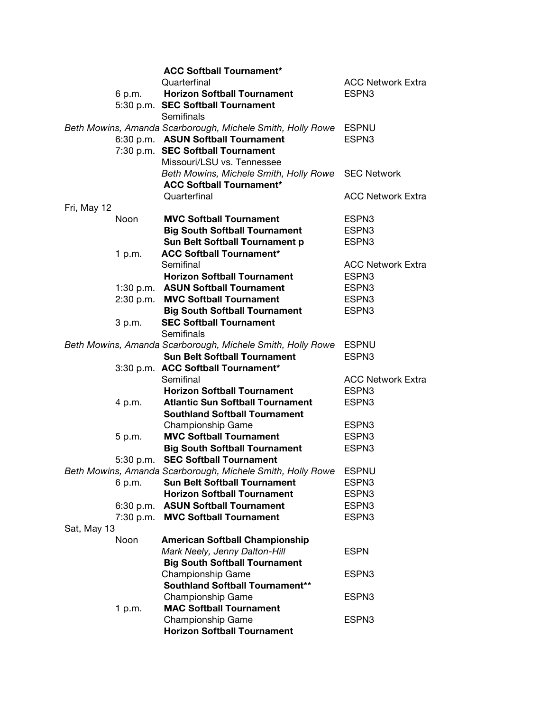|             |             | <b>ACC Softball Tournament*</b>                                  |                          |
|-------------|-------------|------------------------------------------------------------------|--------------------------|
|             |             | Quarterfinal                                                     | <b>ACC Network Extra</b> |
|             | 6 p.m.      | <b>Horizon Softball Tournament</b>                               | ESPN3                    |
|             |             | 5:30 p.m. SEC Softball Tournament                                |                          |
|             |             | Semifinals                                                       |                          |
|             |             | Beth Mowins, Amanda Scarborough, Michele Smith, Holly Rowe       | <b>ESPNU</b>             |
|             |             | 6:30 p.m. ASUN Softball Tournament                               | ESPN3                    |
|             |             | 7:30 p.m. SEC Softball Tournament                                |                          |
|             |             | Missouri/LSU vs. Tennessee                                       |                          |
|             |             | Beth Mowins, Michele Smith, Holly Rowe SEC Network               |                          |
|             |             | <b>ACC Softball Tournament*</b>                                  |                          |
|             |             | Quarterfinal                                                     | <b>ACC Network Extra</b> |
| Fri, May 12 |             |                                                                  |                          |
|             | <b>Noon</b> | <b>MVC Softball Tournament</b>                                   | ESPN3                    |
|             |             | <b>Big South Softball Tournament</b>                             | ESPN3                    |
|             |             | <b>Sun Belt Softball Tournament p</b>                            | ESPN3                    |
|             | 1 p.m.      | <b>ACC Softball Tournament*</b>                                  |                          |
|             |             | Semifinal                                                        | <b>ACC Network Extra</b> |
|             |             | <b>Horizon Softball Tournament</b>                               | ESPN3                    |
|             |             | 1:30 p.m. ASUN Softball Tournament                               | ESPN3                    |
|             | 2:30 p.m.   | <b>MVC Softball Tournament</b>                                   | ESPN3                    |
|             |             | <b>Big South Softball Tournament</b>                             | ESPN3                    |
|             | 3 p.m.      | <b>SEC Softball Tournament</b>                                   |                          |
|             |             | Semifinals                                                       |                          |
|             |             | Beth Mowins, Amanda Scarborough, Michele Smith, Holly Rowe ESPNU |                          |
|             |             | <b>Sun Belt Softball Tournament</b>                              | ESPN3                    |
|             |             | 3:30 p.m. ACC Softball Tournament*                               |                          |
|             |             | Semifinal                                                        | <b>ACC Network Extra</b> |
|             |             | <b>Horizon Softball Tournament</b>                               | ESPN3                    |
|             | 4 p.m.      | <b>Atlantic Sun Softball Tournament</b>                          | ESPN3                    |
|             |             | <b>Southland Softball Tournament</b>                             |                          |
|             |             | Championship Game                                                | ESPN3                    |
|             | 5 p.m.      | <b>MVC Softball Tournament</b>                                   | ESPN3                    |
|             |             | <b>Big South Softball Tournament</b>                             | ESPN3                    |
|             |             | 5:30 p.m. SEC Softball Tournament                                |                          |
|             |             | Beth Mowins, Amanda Scarborough, Michele Smith, Holly Rowe       | <b>ESPNU</b>             |
|             | 6 p.m.      | <b>Sun Belt Softball Tournament</b>                              | ESPN3                    |
|             |             | <b>Horizon Softball Tournament</b>                               | ESPN <sub>3</sub>        |
|             |             | 6:30 p.m. ASUN Softball Tournament                               | ESPN3                    |
|             | 7:30 p.m.   | <b>MVC Softball Tournament</b>                                   | ESPN3                    |
| Sat, May 13 |             |                                                                  |                          |
|             | Noon        | <b>American Softball Championship</b>                            |                          |
|             |             | Mark Neely, Jenny Dalton-Hill                                    | <b>ESPN</b>              |
|             |             | <b>Big South Softball Tournament</b>                             |                          |
|             |             | <b>Championship Game</b>                                         | ESPN3                    |
|             |             | <b>Southland Softball Tournament**</b>                           |                          |
|             |             | <b>Championship Game</b>                                         | ESPN3                    |
|             | 1 p.m.      | <b>MAC Softball Tournament</b>                                   |                          |
|             |             | Championship Game                                                | ESPN3                    |
|             |             | <b>Horizon Softball Tournament</b>                               |                          |
|             |             |                                                                  |                          |